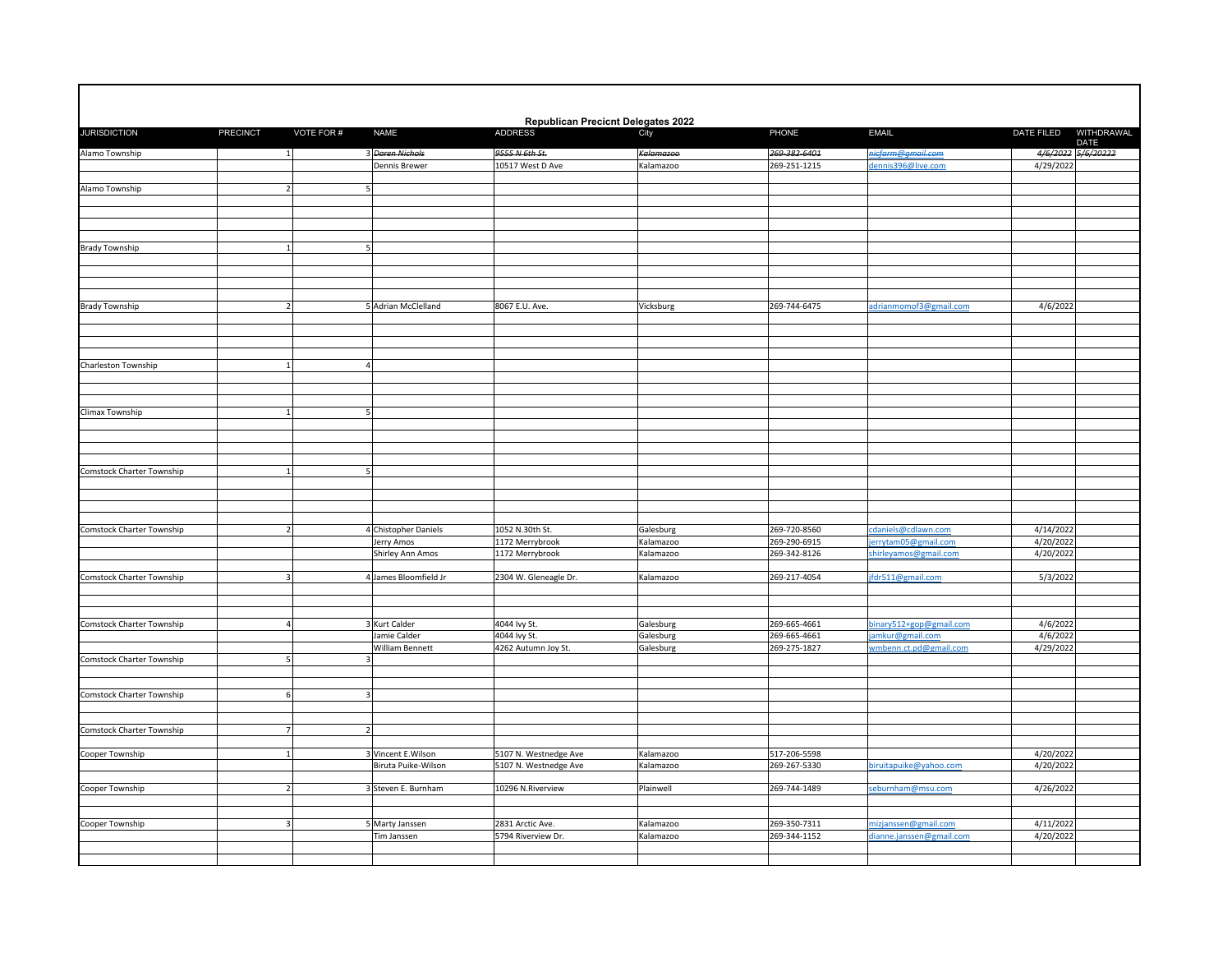|                                  |                 |                |                                | <b>Republican Precicnt Delegates 2022</b>      |                                      |                              |                                              |                                  |
|----------------------------------|-----------------|----------------|--------------------------------|------------------------------------------------|--------------------------------------|------------------------------|----------------------------------------------|----------------------------------|
| <b>JURISDICTION</b>              | <b>PRECINCT</b> | VOTE FOR #     | <b>NAME</b>                    | <b>ADDRESS</b>                                 | City                                 | PHONE                        | <b>EMAIL</b>                                 | DATE FILED<br>WITHDRAWAL<br>DATE |
| Alamo Township                   |                 | $\overline{1}$ | 3 Daren Nichols                | 9555 N 6th St.                                 | Kalamazoo                            | 269-382-6401                 | <u>nicfarm@gmail.com</u>                     | 4/6/2022 5/6/20222               |
|                                  |                 |                | Dennis Brewer                  | 10517 West D Ave                               | Kalamazoo                            | 269-251-1215                 | dennis396@live.com                           | 4/29/2022                        |
| Alamo Township                   |                 |                |                                |                                                |                                      |                              |                                              |                                  |
|                                  |                 |                |                                |                                                |                                      |                              |                                              |                                  |
|                                  |                 |                |                                |                                                |                                      |                              |                                              |                                  |
|                                  |                 |                |                                |                                                |                                      |                              |                                              |                                  |
| <b>Brady Township</b>            |                 |                |                                |                                                |                                      |                              |                                              |                                  |
|                                  |                 |                |                                |                                                |                                      |                              |                                              |                                  |
|                                  |                 |                |                                |                                                |                                      |                              |                                              |                                  |
|                                  |                 |                |                                |                                                |                                      |                              |                                              |                                  |
| <b>Brady Township</b>            |                 |                | 5 Adrian McClelland            | 8067 E.U. Ave.                                 | Vicksburg                            | 269-744-6475                 | adrianmomof3@gmail.com                       | 4/6/2022                         |
|                                  |                 |                |                                |                                                |                                      |                              |                                              |                                  |
|                                  |                 |                |                                |                                                |                                      |                              |                                              |                                  |
|                                  |                 |                |                                |                                                |                                      |                              |                                              |                                  |
| Charleston Township              |                 |                | $\Delta$                       |                                                |                                      |                              |                                              |                                  |
|                                  |                 |                |                                |                                                |                                      |                              |                                              |                                  |
|                                  |                 |                |                                |                                                |                                      |                              |                                              |                                  |
| Climax Township                  |                 |                |                                |                                                |                                      |                              |                                              |                                  |
|                                  |                 |                |                                |                                                |                                      |                              |                                              |                                  |
|                                  |                 |                |                                |                                                |                                      |                              |                                              |                                  |
|                                  |                 |                |                                |                                                |                                      |                              |                                              |                                  |
| Comstock Charter Township        |                 |                |                                |                                                |                                      |                              |                                              |                                  |
|                                  |                 |                |                                |                                                |                                      |                              |                                              |                                  |
|                                  |                 |                |                                |                                                |                                      |                              |                                              |                                  |
|                                  |                 |                |                                |                                                |                                      |                              |                                              |                                  |
| <b>Comstock Charter Township</b> |                 |                | 4 Chistopher Daniels           | 1052 N.30th St.                                | Galesburg                            | 269-720-8560                 | cdaniels@cdlawn.com                          | 4/14/2022                        |
|                                  |                 |                | Jerry Amos<br>Shirley Ann Amos | 1172 Merrybrook<br>1172 Merrybrook             | <alamazoo<br>Kalamazoo</alamazoo<br> | 269-290-6915<br>269-342-8126 | errytam05@gmail.com<br>shirleyamos@gmail.com | 4/20/2022<br>4/20/2022           |
|                                  |                 |                |                                |                                                |                                      |                              |                                              |                                  |
| Comstock Charter Township        |                 |                | 4 James Bloomfield Jr          | 2304 W. Gleneagle Dr.                          | Kalamazoo                            | 269-217-4054                 | fdr511@gmail.com                             | 5/3/2022                         |
|                                  |                 |                |                                |                                                |                                      |                              |                                              |                                  |
|                                  |                 |                |                                |                                                |                                      |                              |                                              |                                  |
| <b>Comstock Charter Township</b> |                 |                | <b>Kurt Calder</b>             | 4044 Ivy St.                                   | Galesburg                            | 269-665-4661                 | pinary512+gop@gmail.com                      | 4/6/2022                         |
|                                  |                 |                | Jamie Calder                   | 4044 lvy St.                                   | Galesburg                            | 269-665-4661                 | amkur@gmail.com                              | 4/6/2022                         |
| Comstock Charter Township        |                 |                | William Bennett                | 4262 Autumn Joy St.                            | Galesburg                            | 269-275-1827                 | wmbenn.ct.pd@gmail.com                       | 4/29/2022                        |
|                                  |                 |                |                                |                                                |                                      |                              |                                              |                                  |
|                                  |                 |                |                                |                                                |                                      |                              |                                              |                                  |
| Comstock Charter Township        |                 |                |                                |                                                |                                      |                              |                                              |                                  |
|                                  |                 |                |                                |                                                |                                      |                              |                                              |                                  |
| Comstock Charter Township        |                 |                |                                |                                                |                                      |                              |                                              |                                  |
| Cooper Township                  |                 |                | 3 Vincent E.Wilson             |                                                |                                      | 517-206-5598                 |                                              | 4/20/2022                        |
|                                  |                 |                | Biruta Puike-Wilson            | 5107 N. Westnedge Ave<br>5107 N. Westnedge Ave | Kalamazoo<br>Kalamazoo               | 269-267-5330                 | piruitapuike@yahoo.com                       | 4/20/2022                        |
|                                  |                 |                |                                |                                                |                                      |                              |                                              |                                  |
| Cooper Township                  |                 |                | 3 Steven E. Burnham            | 10296 N.Riverview                              | Plainwell                            | 269-744-1489                 | seburnham@msu.com                            | 4/26/2022                        |
|                                  |                 |                |                                |                                                |                                      |                              |                                              |                                  |
| Cooper Township                  |                 |                | Marty Janssen                  | 2831 Arctic Ave.                               | Kalamazoo                            | 269-350-7311                 | nizjanssen@gmail.com                         | 4/11/2022                        |
|                                  |                 |                | Tim Janssen                    | 5794 Riverview Dr.                             | Kalamazoo                            | 269-344-1152                 | lianne.janssen@gmail.com                     | 4/20/2022                        |
|                                  |                 |                |                                |                                                |                                      |                              |                                              |                                  |
|                                  |                 |                |                                |                                                |                                      |                              |                                              |                                  |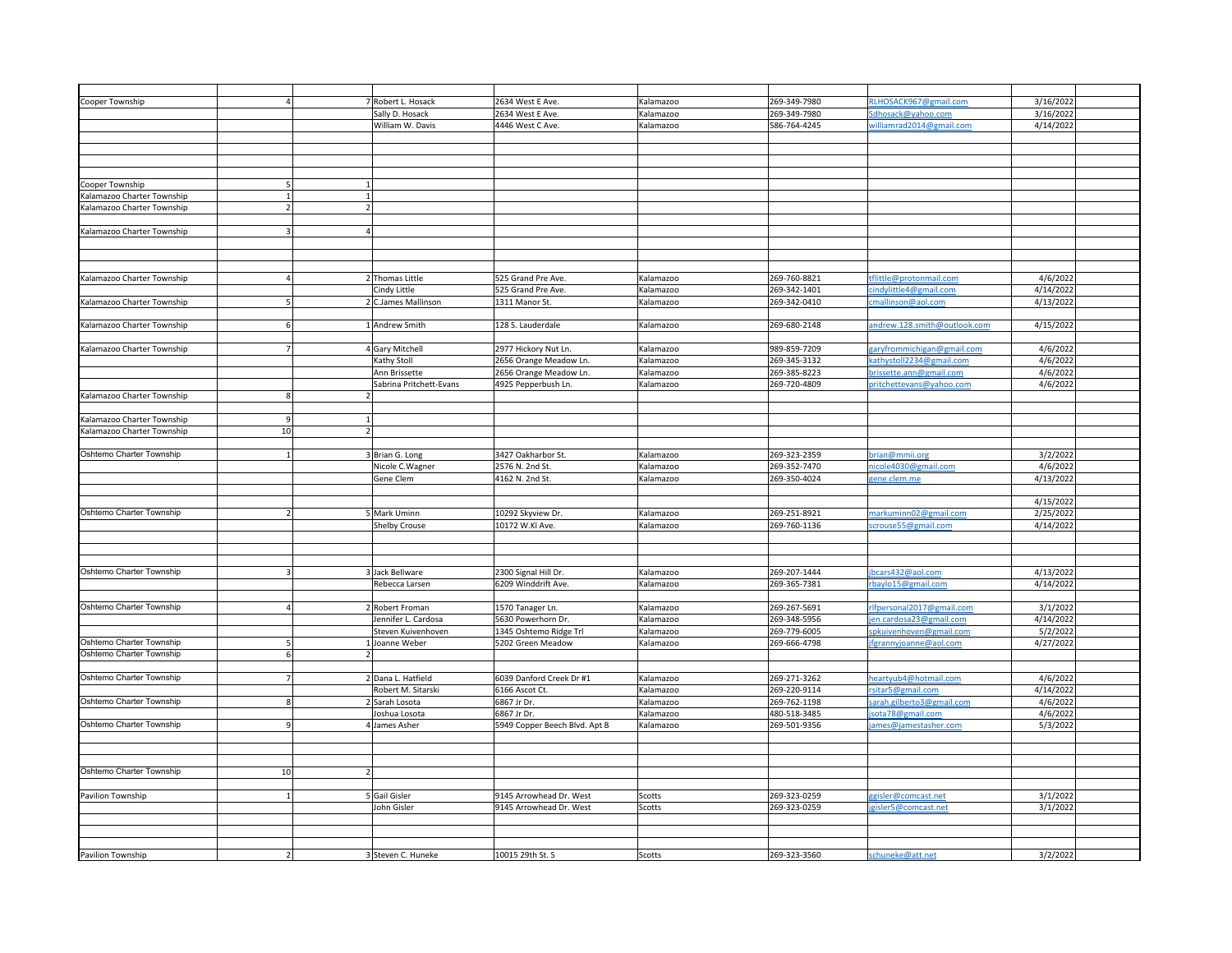| 269-349-7980<br>Robert L. Hosack<br>2634 West E Ave.<br><alamazoo<br>RLHOSACK967@gmail.com<br/>Cooper Township<br/>269-349-7980<br/>Sally D. Hosack<br/>2634 West E Ave.<br/>dhosack@yahoo.com<br/>Kalamazoo<br/>William W. Davis<br/>4446 West C Ave.<br/>586-764-4245<br/>Kalamazoo<br/>villiamrad2014@gmail.com<br/>Cooper Township<br/>Calamazoo Charter Township<br/>Kalamazoo Charter Township</alamazoo<br> | 3/16/2022<br>3/16/2022<br>4/14/2022 |
|--------------------------------------------------------------------------------------------------------------------------------------------------------------------------------------------------------------------------------------------------------------------------------------------------------------------------------------------------------------------------------------------------------------------|-------------------------------------|
|                                                                                                                                                                                                                                                                                                                                                                                                                    |                                     |
|                                                                                                                                                                                                                                                                                                                                                                                                                    |                                     |
|                                                                                                                                                                                                                                                                                                                                                                                                                    |                                     |
|                                                                                                                                                                                                                                                                                                                                                                                                                    |                                     |
|                                                                                                                                                                                                                                                                                                                                                                                                                    |                                     |
|                                                                                                                                                                                                                                                                                                                                                                                                                    |                                     |
|                                                                                                                                                                                                                                                                                                                                                                                                                    |                                     |
|                                                                                                                                                                                                                                                                                                                                                                                                                    |                                     |
|                                                                                                                                                                                                                                                                                                                                                                                                                    |                                     |
|                                                                                                                                                                                                                                                                                                                                                                                                                    |                                     |
|                                                                                                                                                                                                                                                                                                                                                                                                                    |                                     |
|                                                                                                                                                                                                                                                                                                                                                                                                                    |                                     |
|                                                                                                                                                                                                                                                                                                                                                                                                                    |                                     |
|                                                                                                                                                                                                                                                                                                                                                                                                                    |                                     |
| Kalamazoo Charter Township                                                                                                                                                                                                                                                                                                                                                                                         |                                     |
|                                                                                                                                                                                                                                                                                                                                                                                                                    |                                     |
|                                                                                                                                                                                                                                                                                                                                                                                                                    |                                     |
|                                                                                                                                                                                                                                                                                                                                                                                                                    |                                     |
| 2 Thomas Little<br>525 Grand Pre Ave.<br>269-760-8821<br>Kalamazoo Charter Township<br>Kalamazoo<br>flittle@protonmail.com                                                                                                                                                                                                                                                                                         | 4/6/2022                            |
|                                                                                                                                                                                                                                                                                                                                                                                                                    |                                     |
| 269-342-1401<br>indylittle4@gmail.com<br>Cindy Little<br>525 Grand Pre Ave.<br>Kalamazoo                                                                                                                                                                                                                                                                                                                           | 4/14/2022                           |
| C.James Mallinson<br>1311 Manor St.<br>269-342-0410<br>Kalamazoo Charter Township<br>Kalamazoo<br>mallinson@aol.com                                                                                                                                                                                                                                                                                                | 4/13/2022                           |
|                                                                                                                                                                                                                                                                                                                                                                                                                    |                                     |
| Andrew Smith<br>128 S. Lauderdale<br>269-680-2148<br><alamazoo charter="" township<br="">Kalamazoo<br/>andrew.128.smith@outlook.com</alamazoo>                                                                                                                                                                                                                                                                     | 4/15/2022                           |
|                                                                                                                                                                                                                                                                                                                                                                                                                    |                                     |
| 4 Gary Mitchell<br>2977 Hickory Nut Ln.<br>989-859-7209<br>Kalamazoo Charter Township<br>Kalamazoo<br>aryfrommichigan@gmail.com                                                                                                                                                                                                                                                                                    | 4/6/2022                            |
| Kathy Stoll<br>2656 Orange Meadow Ln.<br>Kalamazoo<br>269-345-3132<br>athystoll2234@gmail.com                                                                                                                                                                                                                                                                                                                      | 4/6/2022                            |
|                                                                                                                                                                                                                                                                                                                                                                                                                    |                                     |
| 2656 Orange Meadow Ln.<br>269-385-8223<br>Ann Brissette<br>Kalamazoo<br>rissette.ann@gmail.com                                                                                                                                                                                                                                                                                                                     | 4/6/2022                            |
| Sabrina Pritchett-Evans<br>4925 Pepperbush Ln.<br>Kalamazoo<br>269-720-4809<br>ritchettevans@yahoo.com                                                                                                                                                                                                                                                                                                             | 4/6/2022                            |
| Kalamazoo Charter Township                                                                                                                                                                                                                                                                                                                                                                                         |                                     |
|                                                                                                                                                                                                                                                                                                                                                                                                                    |                                     |
| Kalamazoo Charter Township                                                                                                                                                                                                                                                                                                                                                                                         |                                     |
| Kalamazoo Charter Township<br>10                                                                                                                                                                                                                                                                                                                                                                                   |                                     |
|                                                                                                                                                                                                                                                                                                                                                                                                                    |                                     |
|                                                                                                                                                                                                                                                                                                                                                                                                                    |                                     |
| Oshtemo Charter Township<br>3427 Oakharbor St.<br>269-323-2359<br>brian@mmii.org<br>3 Brian G. Long<br>Kalamazoo                                                                                                                                                                                                                                                                                                   | 3/2/2022                            |
| 269-352-7470<br>Nicole C.Wagner<br>2576 N. 2nd St.<br>Kalamazoo<br>nicole4030@gmail.com                                                                                                                                                                                                                                                                                                                            | 4/6/2022                            |
| Gene Clem<br>4162 N. 2nd St.<br>Kalamazoo<br>269-350-4024<br>ene.clem.me                                                                                                                                                                                                                                                                                                                                           | 4/13/2022                           |
|                                                                                                                                                                                                                                                                                                                                                                                                                    |                                     |
|                                                                                                                                                                                                                                                                                                                                                                                                                    | 4/15/2022                           |
|                                                                                                                                                                                                                                                                                                                                                                                                                    |                                     |
|                                                                                                                                                                                                                                                                                                                                                                                                                    |                                     |
| Oshtemo Charter Township<br><b>Mark Uminn</b><br>10292 Skyview Dr.<br>269-251-8921<br>Kalamazoo<br>narkuminn02@gmail.com                                                                                                                                                                                                                                                                                           | 2/25/2022                           |
| 269-760-1136<br>Shelby Crouse<br>10172 W.Kl Ave.<br>Kalamazoo<br>crouse55@gmail.com                                                                                                                                                                                                                                                                                                                                | 4/14/2022                           |
|                                                                                                                                                                                                                                                                                                                                                                                                                    |                                     |
|                                                                                                                                                                                                                                                                                                                                                                                                                    |                                     |
|                                                                                                                                                                                                                                                                                                                                                                                                                    |                                     |
|                                                                                                                                                                                                                                                                                                                                                                                                                    |                                     |
| Oshtemo Charter Township<br>3 Jack Bellware<br>2300 Signal Hill Dr.<br>269-207-1444<br>bcars432@aol.com<br>Kalamazoo                                                                                                                                                                                                                                                                                               | 4/13/2022                           |
| 6209 Winddrift Ave<br>269-365-7381<br>Rebecca Larsen<br>Kalamazoo<br>baylo15@gmail.com                                                                                                                                                                                                                                                                                                                             | 4/14/2022                           |
|                                                                                                                                                                                                                                                                                                                                                                                                                    |                                     |
| Oshtemo Charter Township<br>269-267-5691<br>Robert Froman<br>1570 Tanager Ln.<br>Kalamazoo<br>lfpersonal2017@gmail.com                                                                                                                                                                                                                                                                                             | 3/1/2022                            |
|                                                                                                                                                                                                                                                                                                                                                                                                                    |                                     |
| 269-348-5956<br>Jennifer L. Cardosa<br>5630 Powerhorn Dr.<br>Kalamazoo<br>en.cardosa23@gmail.com                                                                                                                                                                                                                                                                                                                   | 4/14/2022                           |
| Steven Kuivenhoven<br>1345 Oshtemo Ridge Trl<br>Kalamazoo<br>269-779-6005<br>pkuivenhoven@gmail.com                                                                                                                                                                                                                                                                                                                | 5/2/2022                            |
| Oshtemo Charter Township<br>5202 Green Meadow<br>269-666-4798<br>Joanne Weber<br>Kalamazoo<br>fgrannyjoanne@aol.com                                                                                                                                                                                                                                                                                                | 4/27/2022                           |
| Oshtemo Charter Township                                                                                                                                                                                                                                                                                                                                                                                           |                                     |
|                                                                                                                                                                                                                                                                                                                                                                                                                    |                                     |
| Oshtemo Charter Township<br>269-271-3262<br>Dana L. Hatfield<br>6039 Danford Creek Dr #1<br>eartyub4@hotmail.com<br>Kalamazoo                                                                                                                                                                                                                                                                                      | 4/6/2022                            |
|                                                                                                                                                                                                                                                                                                                                                                                                                    |                                     |
| Robert M. Sitarski<br>6166 Ascot Ct.<br>Kalamazoo<br>269-220-9114<br>sitar5@gmail.com                                                                                                                                                                                                                                                                                                                              | 4/14/2022                           |
| Oshtemo Charter Township<br>269-762-1198<br>2 Sarah Losota<br>6867 Jr Dr.<br>Kalamazoo<br>arah.gilberto3@gmail.com                                                                                                                                                                                                                                                                                                 | 4/6/2022                            |
| Joshua Losota<br>6867 Jr Dr.<br>Kalamazoo<br>480-518-3485<br>sota78@gmail.com                                                                                                                                                                                                                                                                                                                                      | 4/6/2022                            |
| Oshtemo Charter Township<br>269-501-9356<br>4 James Asher<br>5949 Copper Beech Blvd. Apt B<br>Kalamazoo<br>ames@jamestasher.com                                                                                                                                                                                                                                                                                    | 5/3/2022                            |
|                                                                                                                                                                                                                                                                                                                                                                                                                    |                                     |
|                                                                                                                                                                                                                                                                                                                                                                                                                    |                                     |
|                                                                                                                                                                                                                                                                                                                                                                                                                    |                                     |
|                                                                                                                                                                                                                                                                                                                                                                                                                    |                                     |
| Oshtemo Charter Township<br>10                                                                                                                                                                                                                                                                                                                                                                                     |                                     |
|                                                                                                                                                                                                                                                                                                                                                                                                                    |                                     |
| <b>5</b> Gail Gisler<br>269-323-0259<br>9145 Arrowhead Dr. West<br>Scotts<br>ggisler@comcast.net<br>Pavilion Township                                                                                                                                                                                                                                                                                              | 3/1/2022                            |
| 269-323-0259<br>John Gisler<br>9145 Arrowhead Dr. West<br>Scotts<br>isler5@comcast.net                                                                                                                                                                                                                                                                                                                             | 3/1/2022                            |
|                                                                                                                                                                                                                                                                                                                                                                                                                    |                                     |
|                                                                                                                                                                                                                                                                                                                                                                                                                    |                                     |
|                                                                                                                                                                                                                                                                                                                                                                                                                    |                                     |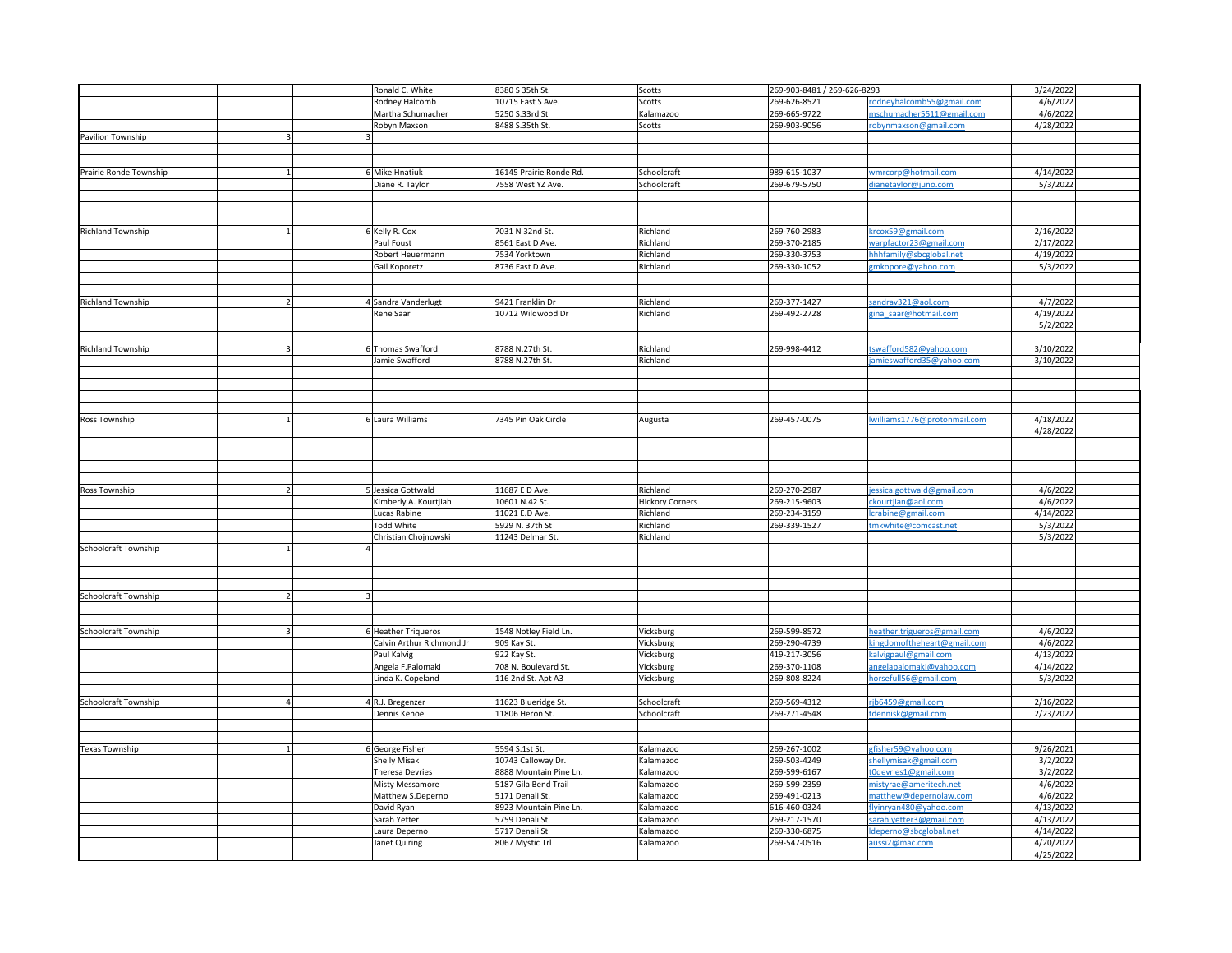|                          |  | Ronald C. White                        | 8380 S 35th St.         | Scotts                                                               | 269-903-8481 / 269-626-8293 |                             | 3/24/2022                                                                                                                                                                                                                                                                                                                                                                                         |
|--------------------------|--|----------------------------------------|-------------------------|----------------------------------------------------------------------|-----------------------------|-----------------------------|---------------------------------------------------------------------------------------------------------------------------------------------------------------------------------------------------------------------------------------------------------------------------------------------------------------------------------------------------------------------------------------------------|
|                          |  | Rodney Halcomb                         | 10715 East S Ave.       | Scotts                                                               | 269-626-8521                | rodneyhalcomb55@gmail.com   | 4/6/2022                                                                                                                                                                                                                                                                                                                                                                                          |
|                          |  | Martha Schumacher                      | 5250 S.33rd St          | Kalamazoo                                                            | 269-665-9722                | nschumacher5511@gmail.com   | 4/6/2022                                                                                                                                                                                                                                                                                                                                                                                          |
|                          |  | Robyn Maxson                           | 8488 S.35th St.         | Scotts                                                               | 269-903-9056                | robynmaxson@gmail.com       | 4/28/2022                                                                                                                                                                                                                                                                                                                                                                                         |
| Pavilion Township        |  |                                        |                         |                                                                      |                             |                             |                                                                                                                                                                                                                                                                                                                                                                                                   |
|                          |  |                                        |                         |                                                                      |                             |                             |                                                                                                                                                                                                                                                                                                                                                                                                   |
|                          |  |                                        |                         |                                                                      |                             |                             |                                                                                                                                                                                                                                                                                                                                                                                                   |
| Prairie Ronde Township   |  | Mike Hnatiuk                           | 16145 Prairie Ronde Rd. | Schoolcraft                                                          | 989-615-1037                | wmrcorp@hotmail.com         | 4/14/2022                                                                                                                                                                                                                                                                                                                                                                                         |
|                          |  | Diane R. Taylor                        | 7558 West YZ Ave.       | Schoolcraft                                                          | 269-679-5750                | dianetaylor@juno.com        | 5/3/2022                                                                                                                                                                                                                                                                                                                                                                                          |
|                          |  |                                        |                         |                                                                      |                             |                             |                                                                                                                                                                                                                                                                                                                                                                                                   |
|                          |  |                                        |                         |                                                                      |                             |                             |                                                                                                                                                                                                                                                                                                                                                                                                   |
|                          |  |                                        |                         |                                                                      |                             |                             |                                                                                                                                                                                                                                                                                                                                                                                                   |
|                          |  |                                        |                         |                                                                      |                             |                             |                                                                                                                                                                                                                                                                                                                                                                                                   |
| <b>Richland Township</b> |  | 6 Kelly R. Cox                         | 7031 N 32nd St.         | Richland                                                             | 269-760-2983                | krcox59@gmail.com           | 2/16/2022                                                                                                                                                                                                                                                                                                                                                                                         |
|                          |  | Paul Foust                             | 8561 East D Ave.        | Richland                                                             | 269-370-2185                | warpfactor23@gmail.com      | 2/17/2022                                                                                                                                                                                                                                                                                                                                                                                         |
|                          |  | Robert Heuermann                       | 7534 Yorktown           | Richland                                                             | 269-330-3753                | hhhfamily@sbcglobal.net     | 4/19/2022                                                                                                                                                                                                                                                                                                                                                                                         |
|                          |  | Gail Koporetz                          | 8736 East D Ave.        | Richland                                                             | 269-330-1052                | zmkopore@yahoo.com          | 5/3/2022                                                                                                                                                                                                                                                                                                                                                                                          |
|                          |  |                                        |                         |                                                                      |                             |                             |                                                                                                                                                                                                                                                                                                                                                                                                   |
|                          |  |                                        |                         |                                                                      |                             |                             |                                                                                                                                                                                                                                                                                                                                                                                                   |
| <b>Richland Township</b> |  | 4 Sandra Vanderlugt                    | 9421 Franklin Dr        | Richland                                                             | 269-377-1427                | andrav321@aol.com           | 4/7/2022                                                                                                                                                                                                                                                                                                                                                                                          |
|                          |  | Rene Saar                              | 10712 Wildwood Dr       | Richland                                                             | 269-492-2728                | zina saar@hotmail.com       | 4/19/2022                                                                                                                                                                                                                                                                                                                                                                                         |
|                          |  |                                        |                         |                                                                      |                             |                             | 5/2/2022                                                                                                                                                                                                                                                                                                                                                                                          |
|                          |  |                                        |                         |                                                                      |                             |                             |                                                                                                                                                                                                                                                                                                                                                                                                   |
| <b>Richland Township</b> |  | Thomas Swafford                        | 8788 N.27th St.         | Richland                                                             | 269-998-4412                | swafford582@yahoo.com       | 3/10/2022                                                                                                                                                                                                                                                                                                                                                                                         |
|                          |  | Jamie Swafford                         | 8788 N.27th St.         | Richland                                                             |                             | amieswafford35@yahoo.com    | 3/10/2022                                                                                                                                                                                                                                                                                                                                                                                         |
|                          |  |                                        |                         |                                                                      |                             |                             |                                                                                                                                                                                                                                                                                                                                                                                                   |
|                          |  |                                        |                         |                                                                      |                             |                             |                                                                                                                                                                                                                                                                                                                                                                                                   |
|                          |  |                                        |                         |                                                                      |                             |                             |                                                                                                                                                                                                                                                                                                                                                                                                   |
|                          |  |                                        |                         |                                                                      |                             |                             |                                                                                                                                                                                                                                                                                                                                                                                                   |
| Ross Township            |  | 6 Laura Williams                       | 7345 Pin Oak Circle     | Augusta                                                              | 269-457-0075                | williams1776@protonmail.com | 4/18/2022                                                                                                                                                                                                                                                                                                                                                                                         |
|                          |  |                                        |                         |                                                                      |                             |                             | 4/28/2022                                                                                                                                                                                                                                                                                                                                                                                         |
|                          |  |                                        |                         |                                                                      |                             |                             |                                                                                                                                                                                                                                                                                                                                                                                                   |
|                          |  |                                        |                         |                                                                      |                             |                             |                                                                                                                                                                                                                                                                                                                                                                                                   |
|                          |  |                                        |                         |                                                                      |                             |                             |                                                                                                                                                                                                                                                                                                                                                                                                   |
|                          |  |                                        |                         |                                                                      |                             |                             |                                                                                                                                                                                                                                                                                                                                                                                                   |
| Ross Township            |  | Jessica Gottwald                       | 11687 E D Ave.          | Richland                                                             | 269-270-2987                | essica.gottwald@gmail.com   | 4/6/2022                                                                                                                                                                                                                                                                                                                                                                                          |
|                          |  | Kimberly A. Kourtjiah                  | 10601 N.42 St.          | <b>Hickory Corners</b>                                               | 269-215-9603                | ckourtjian@aol.com          | 4/6/2022                                                                                                                                                                                                                                                                                                                                                                                          |
|                          |  | Lucas Rabine                           | 11021 E.D Ave.          | Richland                                                             | 269-234-3159                | crabine@gmail.com           | 4/14/2022                                                                                                                                                                                                                                                                                                                                                                                         |
|                          |  | <b>Todd White</b>                      | 5929 N. 37th St         | Richland                                                             | 269-339-1527                | mkwhite@comcast.net         |                                                                                                                                                                                                                                                                                                                                                                                                   |
|                          |  | Christian Chojnowski                   | 11243 Delmar St.        | Richland                                                             |                             |                             |                                                                                                                                                                                                                                                                                                                                                                                                   |
| Schoolcraft Township     |  |                                        |                         |                                                                      |                             |                             |                                                                                                                                                                                                                                                                                                                                                                                                   |
|                          |  |                                        |                         |                                                                      |                             |                             |                                                                                                                                                                                                                                                                                                                                                                                                   |
|                          |  |                                        |                         |                                                                      |                             |                             |                                                                                                                                                                                                                                                                                                                                                                                                   |
|                          |  |                                        |                         |                                                                      |                             |                             |                                                                                                                                                                                                                                                                                                                                                                                                   |
| Schoolcraft Township     |  |                                        |                         |                                                                      |                             |                             |                                                                                                                                                                                                                                                                                                                                                                                                   |
|                          |  |                                        |                         |                                                                      |                             |                             |                                                                                                                                                                                                                                                                                                                                                                                                   |
|                          |  |                                        |                         |                                                                      |                             |                             |                                                                                                                                                                                                                                                                                                                                                                                                   |
| Schoolcraft Township     |  | 6 Heather Triqueros                    | 1548 Notley Field Ln.   | Vicksburg                                                            | 269-599-8572                | heather.trigueros@gmail.com |                                                                                                                                                                                                                                                                                                                                                                                                   |
|                          |  | Calvin Arthur Richmond Jr              | 909 Kay St.             | Vicksburg                                                            | 269-290-4739                | cingdomoftheheart@gmail.com |                                                                                                                                                                                                                                                                                                                                                                                                   |
|                          |  | Paul Kalvig                            | 922 Kay St.             | Vicksburg                                                            | 419-217-3056                | alvigpaul@gmail.cor         |                                                                                                                                                                                                                                                                                                                                                                                                   |
|                          |  | Angela F.Palomaki                      | 708 N. Boulevard St.    | Vicksburg                                                            | 269-370-1108                |                             |                                                                                                                                                                                                                                                                                                                                                                                                   |
|                          |  | Linda K. Copeland                      | 116 2nd St. Apt A3      | Vicksburg                                                            | 269-808-8224                | horsefull56@gmail.com       |                                                                                                                                                                                                                                                                                                                                                                                                   |
|                          |  |                                        |                         |                                                                      |                             |                             |                                                                                                                                                                                                                                                                                                                                                                                                   |
| Schoolcraft Township     |  | 4 R.J. Bregenzer                       | 11623 Blueridge St.     | Schoolcraft                                                          | 269-569-4312                | jb6459@gmail.com            |                                                                                                                                                                                                                                                                                                                                                                                                   |
|                          |  | Dennis Kehoe                           | 11806 Heron St.         | Schoolcraft                                                          | 269-271-4548                |                             |                                                                                                                                                                                                                                                                                                                                                                                                   |
|                          |  |                                        |                         |                                                                      |                             |                             |                                                                                                                                                                                                                                                                                                                                                                                                   |
|                          |  |                                        |                         |                                                                      |                             |                             |                                                                                                                                                                                                                                                                                                                                                                                                   |
| <b>Texas Township</b>    |  |                                        | 5594 S.1st St.          |                                                                      | 269-267-1002                | gfisher59@yahoo.com         |                                                                                                                                                                                                                                                                                                                                                                                                   |
|                          |  | 6 George Fisher<br><b>Shelly Misak</b> | 10743 Calloway Dr.      | Kalamazoo<br>Kalamazoo                                               | 269-503-4249                |                             |                                                                                                                                                                                                                                                                                                                                                                                                   |
|                          |  | <b>Theresa Devries</b>                 | 8888 Mountain Pine Ln.  |                                                                      | 269-599-6167                | t0devries1@gmail.com        |                                                                                                                                                                                                                                                                                                                                                                                                   |
|                          |  |                                        | 5187 Gila Bend Trail    | Kalamazoo                                                            | 269-599-2359                |                             |                                                                                                                                                                                                                                                                                                                                                                                                   |
|                          |  | Misty Messamore                        |                         | <alamazoo< td=""><td>269-491-0213</td><td></td><td></td></alamazoo<> | 269-491-0213                |                             |                                                                                                                                                                                                                                                                                                                                                                                                   |
|                          |  | Matthew S.Deperno                      | 5171 Denali St.         | Kalamazoo                                                            |                             |                             |                                                                                                                                                                                                                                                                                                                                                                                                   |
|                          |  | David Ryan                             | 8923 Mountain Pine Ln.  | Kalamazoo                                                            | 616-460-0324                | vinryan480@yahoo.com        |                                                                                                                                                                                                                                                                                                                                                                                                   |
|                          |  | Sarah Yetter                           | 5759 Denali St.         | Kalamazoo                                                            | 269-217-1570                | arah.yetter3@gmail.com      |                                                                                                                                                                                                                                                                                                                                                                                                   |
|                          |  | Laura Deperno                          | 5717 Denali St          | Kalamazoo                                                            | 269-330-6875                |                             |                                                                                                                                                                                                                                                                                                                                                                                                   |
|                          |  | Janet Quiring                          | 8067 Mystic Trl         | Kalamazoo                                                            | 269-547-0516                | ussi2@mac.com               |                                                                                                                                                                                                                                                                                                                                                                                                   |
|                          |  |                                        |                         |                                                                      |                             |                             | 5/3/2022<br>5/3/2022<br>4/6/2022<br>4/6/2022<br>4/13/2022<br>4/14/2022<br>angelapalomaki@yahoo.com<br>5/3/2022<br>2/16/2022<br>2/23/2022<br>dennisk@gmail.com<br>9/26/2021<br>3/2/2022<br>shellymisak@gmail.com<br>3/2/2022<br>4/6/2022<br>nistyrae@ameritech.net<br>4/6/2022<br>matthew@depernolaw.com<br>4/13/2022<br>4/13/2022<br>deperno@sbcglobal.net<br>4/14/2022<br>4/20/2022<br>4/25/2022 |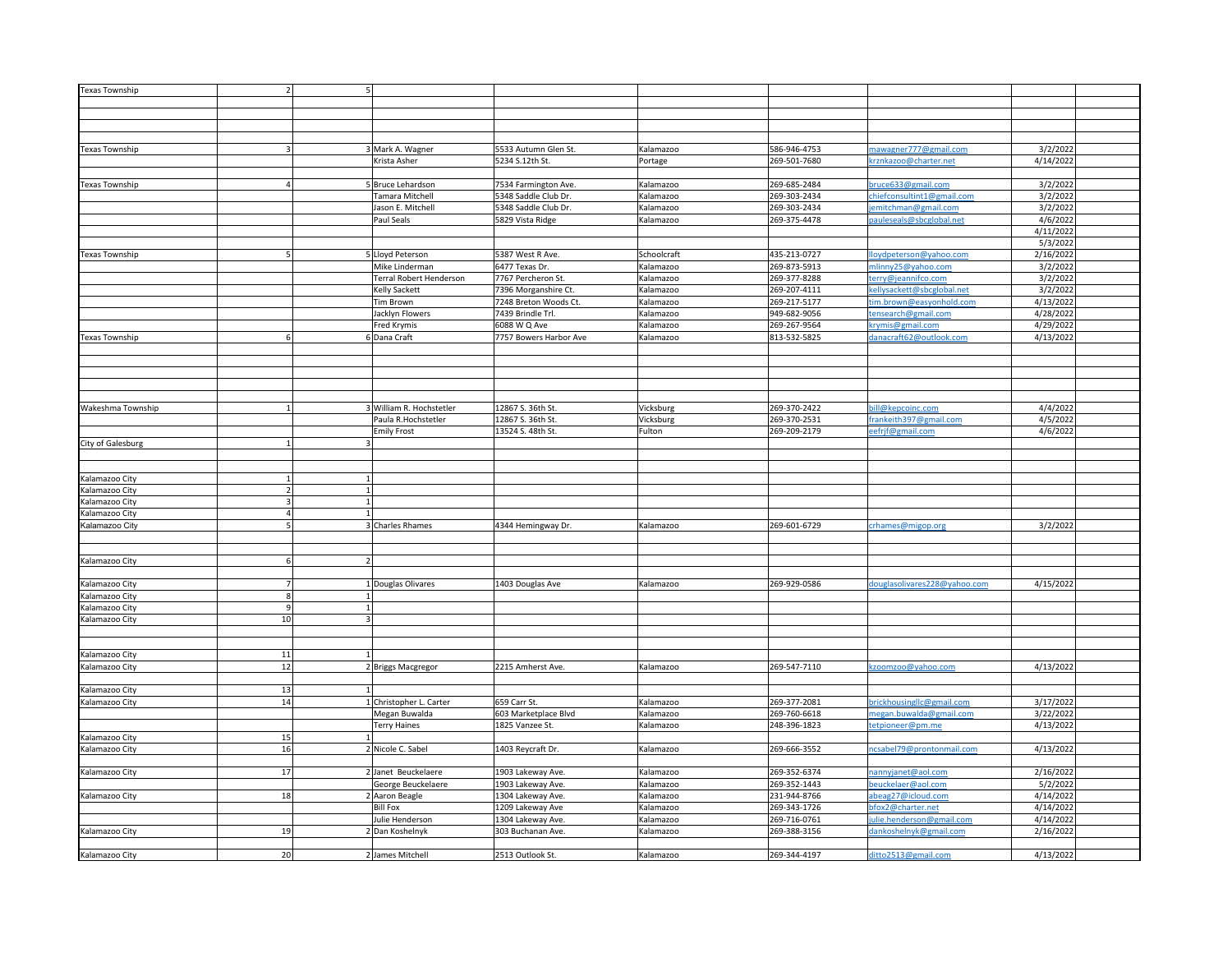| Texas Township        |        |                          |                        |                                                                                                           |              |                              |           |
|-----------------------|--------|--------------------------|------------------------|-----------------------------------------------------------------------------------------------------------|--------------|------------------------------|-----------|
|                       |        |                          |                        |                                                                                                           |              |                              |           |
|                       |        |                          |                        |                                                                                                           |              |                              |           |
|                       |        |                          |                        |                                                                                                           |              |                              |           |
|                       |        |                          |                        |                                                                                                           |              |                              |           |
|                       |        |                          |                        |                                                                                                           |              |                              |           |
| <b>Texas Township</b> |        | 3 Mark A. Wagner         | 5533 Autumn Glen St.   | Kalamazoo                                                                                                 | 586-946-4753 | nawagner777@gmail.com        | 3/2/2022  |
|                       |        | Krista Asher             | 5234 S.12th St.        | Portage                                                                                                   | 269-501-7680 | crznkazoo@charter.net        | 4/14/2022 |
|                       |        |                          |                        |                                                                                                           |              |                              |           |
|                       |        |                          |                        |                                                                                                           |              | oruce633@gmail.com           | 3/2/202   |
| Texas Township        |        | 5 Bruce Lehardson        | 7534 Farmington Ave    | <alamazoo< td=""><td>269-685-2484</td><td></td><td></td></alamazoo<>                                      | 269-685-2484 |                              |           |
|                       |        | Tamara Mitchell          | 5348 Saddle Club Dr.   | <alamazoo< td=""><td>269-303-2434</td><td>chiefconsultint1@gmail.com</td><td>3/2/2022</td></alamazoo<>    | 269-303-2434 | chiefconsultint1@gmail.com   | 3/2/2022  |
|                       |        | ason E. Mitchell         | 5348 Saddle Club Dr.   | Calamazoo                                                                                                 | 269-303-2434 | emitchman@gmail.com          | 3/2/2022  |
|                       |        | Paul Seals               | 5829 Vista Ridge       | <alamazoo< td=""><td>269-375-4478</td><td>bauleseals@sbcglobal.net</td><td>4/6/2022</td></alamazoo<>      | 269-375-4478 | bauleseals@sbcglobal.net     | 4/6/2022  |
|                       |        |                          |                        |                                                                                                           |              |                              | 4/11/2022 |
|                       |        |                          |                        |                                                                                                           |              |                              | 5/3/2022  |
| <b>Texas Township</b> |        | 5 Lloyd Peterson         | 5387 West R Ave.       | Schoolcraft                                                                                               | 435-213-0727 | loydpeterson@yahoo.com       | 2/16/2022 |
|                       |        | Mike Linderman           | 6477 Texas Dr.         | Kalamazoo                                                                                                 | 269-873-5913 | nlinny25@yahoo.com           | 3/2/2022  |
|                       |        |                          |                        |                                                                                                           |              |                              |           |
|                       |        | Terral Robert Henderson  | 7767 Percheron St.     | Kalamazoo                                                                                                 | 269-377-8288 | terry@jeannifco.com          | 3/2/202   |
|                       |        | Kelly Sackett            | 7396 Morganshire Ct.   | Kalamazoo                                                                                                 | 269-207-4111 | ellysackett@sbcglobal.net    | 3/2/2022  |
|                       |        | Tim Brown                | 7248 Breton Woods Ct.  | Kalamazoo                                                                                                 | 269-217-5177 | tim.brown@easyonhold.com     | 4/13/2022 |
|                       |        | Jacklyn Flowers          | 7439 Brindle Trl.      | Kalamazoo                                                                                                 | 949-682-9056 | tensearch@gmail.com          | 4/28/2022 |
|                       |        | Fred Krymis              | 6088 W Q Ave           | Kalamazoo                                                                                                 | 269-267-9564 | krymis@gmail.com             | 4/29/2022 |
| <b>Texas Township</b> |        | 6 Dana Craft             | 7757 Bowers Harbor Ave | Kalamazoo                                                                                                 | 813-532-5825 | danacraft62@outlook.com      | 4/13/2022 |
|                       |        |                          |                        |                                                                                                           |              |                              |           |
|                       |        |                          |                        |                                                                                                           |              |                              |           |
|                       |        |                          |                        |                                                                                                           |              |                              |           |
|                       |        |                          |                        |                                                                                                           |              |                              |           |
|                       |        |                          |                        |                                                                                                           |              |                              |           |
|                       |        |                          |                        |                                                                                                           |              |                              |           |
| Wakeshma Township     |        | 3 William R. Hochstetler | 12867 S. 36th St.      | Vicksburg                                                                                                 | 269-370-2422 | bill@kepcoinc.com            | 4/4/2022  |
|                       |        | Paula R.Hochstetler      | 12867 S. 36th St.      | Vicksburg                                                                                                 | 269-370-2531 | frankeith397@gmail.com       | 4/5/2022  |
|                       |        | <b>Emily Frost</b>       | 13524 S. 48th St.      | ulton                                                                                                     | 269-209-2179 | efrjf@gmail.com              | 4/6/2022  |
|                       |        |                          |                        |                                                                                                           |              |                              |           |
| City of Galesburg     |        |                          |                        |                                                                                                           |              |                              |           |
|                       |        |                          |                        |                                                                                                           |              |                              |           |
|                       |        |                          |                        |                                                                                                           |              |                              |           |
| Kalamazoo City        |        |                          |                        |                                                                                                           |              |                              |           |
| Kalamazoo City        |        |                          |                        |                                                                                                           |              |                              |           |
| Kalamazoo City        |        |                          |                        |                                                                                                           |              |                              |           |
|                       |        |                          |                        |                                                                                                           |              |                              |           |
| Kalamazoo City        |        |                          |                        |                                                                                                           |              |                              |           |
| Kalamazoo City        |        | 3 Charles Rhames         | 4344 Hemingway Dr.     | Kalamazoo                                                                                                 | 269-601-6729 | crhames@migop.org            | 3/2/2022  |
|                       |        |                          |                        |                                                                                                           |              |                              |           |
|                       |        |                          |                        |                                                                                                           |              |                              |           |
| Kalamazoo City        |        |                          |                        |                                                                                                           |              |                              |           |
|                       |        |                          |                        |                                                                                                           |              |                              |           |
| Kalamazoo City        |        | 1 Douglas Olivares       | 1403 Douglas Ave       | <alamazoo< td=""><td>269-929-0586</td><td>douglasolivares228@yahoo.com</td><td>4/15/2022</td></alamazoo<> | 269-929-0586 | douglasolivares228@yahoo.com | 4/15/2022 |
|                       |        |                          |                        |                                                                                                           |              |                              |           |
| Kalamazoo City        |        |                          |                        |                                                                                                           |              |                              |           |
| Kalamazoo City        | 9      |                          |                        |                                                                                                           |              |                              |           |
| Kalamazoo City        | 10     |                          |                        |                                                                                                           |              |                              |           |
|                       |        |                          |                        |                                                                                                           |              |                              |           |
|                       |        |                          |                        |                                                                                                           |              |                              |           |
| Kalamazoo City        | $11\,$ |                          |                        |                                                                                                           |              |                              |           |
| Kalamazoo City        | 12     | 2 Briggs Macgregor       | 2215 Amherst Ave.      | Kalamazoo                                                                                                 | 269-547-7110 | czoomzoo@yahoo.com           | 4/13/2022 |
|                       |        |                          |                        |                                                                                                           |              |                              |           |
|                       |        |                          |                        |                                                                                                           |              |                              |           |
| Kalamazoo City        | 13     |                          |                        |                                                                                                           |              |                              |           |
| Kalamazoo City        | 14     | 1 Christopher L. Carter  | 659 Carr St.           | Kalamazoo                                                                                                 | 269-377-2081 | orickhousinglic@gmail.com    | 3/17/2022 |
|                       |        | Megan Buwalda            | 603 Marketplace Blvd   | <alamazoo< td=""><td>269-760-6618</td><td>megan.buwalda@gmail.com</td><td>3/22/2022</td></alamazoo<>      | 269-760-6618 | megan.buwalda@gmail.com      | 3/22/2022 |
|                       |        | <b>Terry Haines</b>      | 1825 Vanzee St.        | <alamazoo< td=""><td>248-396-1823</td><td>tetpioneer@pm.me</td><td>4/13/2022</td></alamazoo<>             | 248-396-1823 | tetpioneer@pm.me             | 4/13/2022 |
| Kalamazoo City        | 15     |                          |                        |                                                                                                           |              |                              |           |
| Kalamazoo City        | 16     | 2 Nicole C. Sabel        | 1403 Reycraft Dr.      | Kalamazoo                                                                                                 | 269-666-3552 | csabel79@prontonmail.com     | 4/13/2022 |
|                       |        |                          |                        |                                                                                                           |              |                              |           |
|                       |        |                          |                        |                                                                                                           |              |                              |           |
| Kalamazoo City        | 17     | 2 Janet Beuckelaere      | 1903 Lakeway Ave.      | Kalamazoo                                                                                                 | 269-352-6374 | nannyjanet@aol.com           | 2/16/2022 |
|                       |        | George Beuckelaere       | 1903 Lakeway Ave.      | Kalamazoo                                                                                                 | 269-352-1443 | beuckelaer@aol.com           | 5/2/2022  |
| Kalamazoo City        | 18     | 2 Aaron Beagle           | 1304 Lakeway Ave.      | Kalamazoo                                                                                                 | 231-944-8766 | abeag27@icloud.com           | 4/14/2022 |
|                       |        | <b>Bill Fox</b>          | 1209 Lakeway Ave       | <b>Kalamazoo</b>                                                                                          | 269-343-1726 | ofox2@charter.net            | 4/14/2022 |
|                       |        | Julie Henderson          | 1304 Lakeway Ave.      | <b>Calamazoo</b>                                                                                          | 269-716-0761 | ulie.henderson@gmail.com     | 4/14/2022 |
| Kalamazoo City        | 19     | Dan Koshelnyk            | 303 Buchanan Ave.      | <alamazoo< td=""><td>269-388-3156</td><td>dankoshelnyk@gmail.com</td><td>2/16/2022</td></alamazoo<>       | 269-388-3156 | dankoshelnyk@gmail.com       | 2/16/2022 |
|                       |        |                          |                        |                                                                                                           |              |                              |           |
|                       |        |                          |                        |                                                                                                           |              |                              |           |
| Kalamazoo City        | 20     | 2 James Mitchell         | 2513 Outlook St.       | Kalamazoo                                                                                                 | 269-344-4197 | ditto2513@gmail.com          | 4/13/2022 |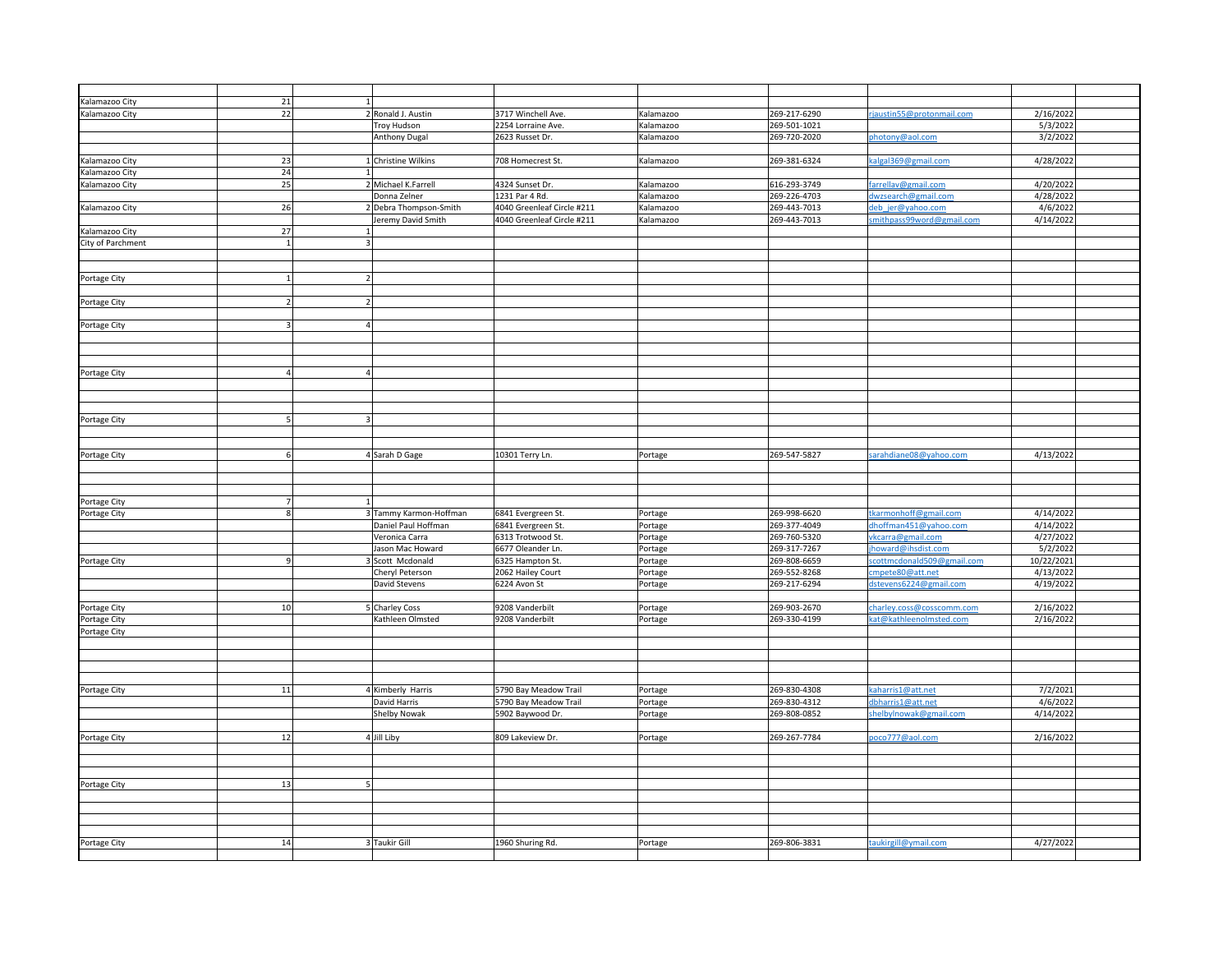| Kalamazoo City    | 21 |                        |                            |           |              |                            |            |
|-------------------|----|------------------------|----------------------------|-----------|--------------|----------------------------|------------|
|                   |    |                        |                            |           |              |                            |            |
| Kalamazoo City    | 22 | 2 Ronald J. Austin     | 3717 Winchell Ave.         | Kalamazoo | 269-217-6290 | jaustin55@protonmail.com   | 2/16/2022  |
|                   |    | Troy Hudson            | 2254 Lorraine Ave.         | Kalamazoo | 269-501-1021 |                            | 5/3/2022   |
|                   |    | Anthony Dugal          | 2623 Russet Dr.            | Kalamazoo | 269-720-2020 | photony@aol.com            | 3/2/2022   |
|                   |    |                        |                            |           |              |                            |            |
| Kalamazoo City    | 23 | 1 Christine Wilkins    | 708 Homecrest St.          | Kalamazoo | 269-381-6324 | calgal369@gmail.com        | 4/28/2022  |
| Kalamazoo City    | 24 |                        |                            |           |              |                            |            |
| Kalamazoo City    | 25 | 2 Michael K.Farrell    | 4324 Sunset Dr.            | Kalamazoo | 616-293-3749 | arrellav@gmail.com         | 4/20/2022  |
|                   |    |                        |                            |           |              |                            |            |
|                   |    | Donna Zelner           | 1231 Par 4 Rd.             | Kalamazoo | 269-226-4703 | dwzsearch@gmail.com        | 4/28/2022  |
| Kalamazoo City    | 26 | Debra Thompson-Smith   | 4040 Greenleaf Circle #211 | Kalamazoo | 269-443-7013 | deb jer@yahoo.com          | 4/6/2022   |
|                   |    | Jeremy David Smith     | 4040 Greenleaf Circle #211 | Kalamazoo | 269-443-7013 | smithpass99word@gmail.com  | 4/14/202   |
| Kalamazoo City    | 27 |                        |                            |           |              |                            |            |
| City of Parchment |    |                        |                            |           |              |                            |            |
|                   |    |                        |                            |           |              |                            |            |
|                   |    |                        |                            |           |              |                            |            |
|                   |    |                        |                            |           |              |                            |            |
| Portage City      |    |                        |                            |           |              |                            |            |
|                   |    |                        |                            |           |              |                            |            |
| Portage City      |    |                        |                            |           |              |                            |            |
|                   |    |                        |                            |           |              |                            |            |
| Portage City      |    |                        |                            |           |              |                            |            |
|                   |    |                        |                            |           |              |                            |            |
|                   |    |                        |                            |           |              |                            |            |
|                   |    |                        |                            |           |              |                            |            |
|                   |    |                        |                            |           |              |                            |            |
| Portage City      |    |                        |                            |           |              |                            |            |
|                   |    |                        |                            |           |              |                            |            |
|                   |    |                        |                            |           |              |                            |            |
|                   |    |                        |                            |           |              |                            |            |
| Portage City      |    |                        |                            |           |              |                            |            |
|                   |    |                        |                            |           |              |                            |            |
|                   |    |                        |                            |           |              |                            |            |
|                   |    |                        |                            |           |              |                            |            |
| Portage City      |    | 4 Sarah D Gage         | 10301 Terry Ln.            | Portage   | 269-547-5827 | sarahdiane08@yahoo.com     | 4/13/202   |
|                   |    |                        |                            |           |              |                            |            |
|                   |    |                        |                            |           |              |                            |            |
|                   |    |                        |                            |           |              |                            |            |
| Portage City      |    |                        |                            |           |              |                            |            |
| Portage City      |    | 3 Tammy Karmon-Hoffman | 6841 Evergreen St.         | Portage   | 269-998-6620 | tkarmonhoff@gmail.com      | 4/14/2022  |
|                   |    |                        |                            |           |              |                            |            |
|                   |    | Daniel Paul Hoffman    | 6841 Evergreen St.         | Portage   | 269-377-4049 | dhoffman451@yahoo.com      | 4/14/2022  |
|                   |    | Veronica Carra         | 6313 Trotwood St.          | Portage   | 269-760-5320 | vkcarra@gmail.com          | 4/27/2022  |
|                   |    | Jason Mac Howard       | 6677 Oleander Ln.          | Portage   | 269-317-7267 | howard@ihsdist.com         | 5/2/2022   |
| Portage City      |    | Scott Mcdonald         | 6325 Hampton St.           | Portage   | 269-808-6659 | scottmcdonald509@gmail.com | 10/22/2021 |
|                   |    | Cheryl Peterson        | 2062 Hailey Court          | Portage   | 269-552-8268 | cmpete80@att.net           | 4/13/2022  |
|                   |    | David Stevens          | 6224 Avon St               | Portage   | 269-217-6294 | dstevens6224@gmail.com     | 4/19/2022  |
|                   |    |                        |                            |           |              |                            |            |
|                   |    |                        |                            |           |              |                            |            |
| Portage City      | 10 | <b>Charley Coss</b>    | 9208 Vanderbilt            | Portage   | 269-903-2670 | charley.coss@cosscomm.com  | 2/16/202   |
| Portage City      |    | Kathleen Olmsted       | 9208 Vanderbilt            | Portage   | 269-330-4199 | kat@kathleenolmsted.com    | 2/16/202   |
| Portage City      |    |                        |                            |           |              |                            |            |
|                   |    |                        |                            |           |              |                            |            |
|                   |    |                        |                            |           |              |                            |            |
|                   |    |                        |                            |           |              |                            |            |
|                   |    |                        |                            |           |              |                            |            |
|                   |    |                        |                            |           |              |                            |            |
| Portage City      | 11 | 4 Kimberly Harris      | 5790 Bay Meadow Trail      | Portage   | 269-830-4308 | caharris1@att.net          | 7/2/2021   |
|                   |    | David Harris           | 5790 Bay Meadow Trail      | Portage   | 269-830-4312 | dbharris1@att.net          | 4/6/2022   |
|                   |    | <b>Shelby Nowak</b>    | 5902 Baywood Dr.           | Portage   | 269-808-0852 | shelbylnowak@gmail.com     | 4/14/2022  |
|                   |    |                        |                            |           |              |                            |            |
| Portage City      | 12 | 4 Jill Liby            | 809 Lakeview Dr.           | Portage   | 269-267-7784 | oco777@aol.com             | 2/16/2022  |
|                   |    |                        |                            |           |              |                            |            |
|                   |    |                        |                            |           |              |                            |            |
|                   |    |                        |                            |           |              |                            |            |
|                   |    |                        |                            |           |              |                            |            |
| Portage City      | 13 |                        |                            |           |              |                            |            |
|                   |    |                        |                            |           |              |                            |            |
|                   |    |                        |                            |           |              |                            |            |
|                   |    |                        |                            |           |              |                            |            |
|                   |    |                        |                            |           |              |                            |            |
|                   |    |                        |                            |           |              |                            | 4/27/2022  |
| Portage City      | 14 | 3 Taukir Gill          | 1960 Shuring Rd.           | Portage   | 269-806-3831 | taukirgill@ymail.com       |            |
|                   |    |                        |                            |           |              |                            |            |